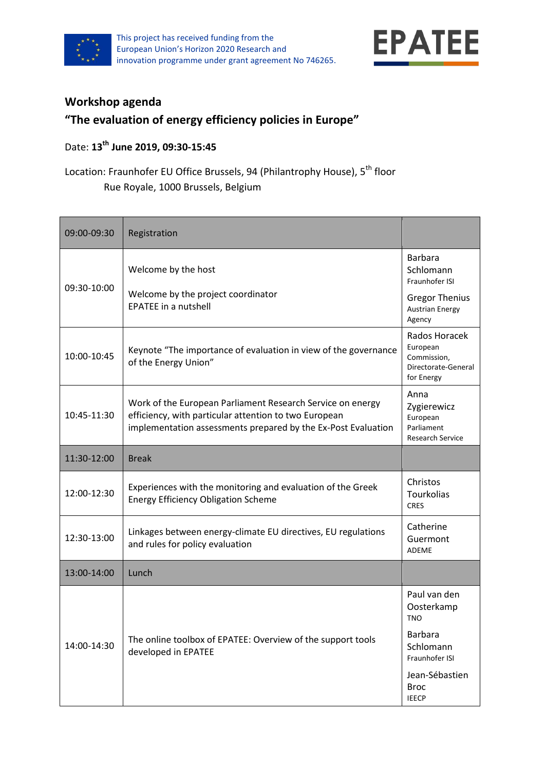



## **Workshop agenda**

## **"The evaluation of energy efficiency policies in Europe"**

## Date: **13th June 2019, 09:30-15:45**

## Location: Fraunhofer EU Office Brussels, 94 (Philantrophy House), 5<sup>th</sup> floor Rue Royale, 1000 Brussels, Belgium

| 09:00-09:30 | Registration                                                                                                                                                                         |                                                                               |
|-------------|--------------------------------------------------------------------------------------------------------------------------------------------------------------------------------------|-------------------------------------------------------------------------------|
| 09:30-10:00 | Welcome by the host                                                                                                                                                                  | Barbara<br>Schlomann<br>Fraunhofer ISI                                        |
|             | Welcome by the project coordinator<br><b>EPATEE</b> in a nutshell                                                                                                                    | <b>Gregor Thenius</b><br><b>Austrian Energy</b><br>Agency                     |
| 10:00-10:45 | Keynote "The importance of evaluation in view of the governance<br>of the Energy Union"                                                                                              | Rados Horacek<br>European<br>Commission,<br>Directorate-General<br>for Energy |
| 10:45-11:30 | Work of the European Parliament Research Service on energy<br>efficiency, with particular attention to two European<br>implementation assessments prepared by the Ex-Post Evaluation | Anna<br>Zygierewicz<br>European<br>Parliament<br><b>Research Service</b>      |
| 11:30-12:00 | <b>Break</b>                                                                                                                                                                         |                                                                               |
| 12:00-12:30 | Experiences with the monitoring and evaluation of the Greek<br><b>Energy Efficiency Obligation Scheme</b>                                                                            | Christos<br><b>Tourkolias</b><br><b>CRES</b>                                  |
| 12:30-13:00 | Linkages between energy-climate EU directives, EU regulations<br>and rules for policy evaluation                                                                                     | Catherine<br>Guermont<br><b>ADEME</b>                                         |
| 13:00-14:00 | Lunch                                                                                                                                                                                |                                                                               |
| 14:00-14:30 | The online toolbox of EPATEE: Overview of the support tools<br>developed in EPATEE                                                                                                   | Paul van den<br>Oosterkamp<br><b>TNO</b>                                      |
|             |                                                                                                                                                                                      | <b>Barbara</b><br>Schlomann<br>Fraunhofer ISI                                 |
|             |                                                                                                                                                                                      | Jean-Sébastien<br><b>Broc</b><br><b>IEECP</b>                                 |